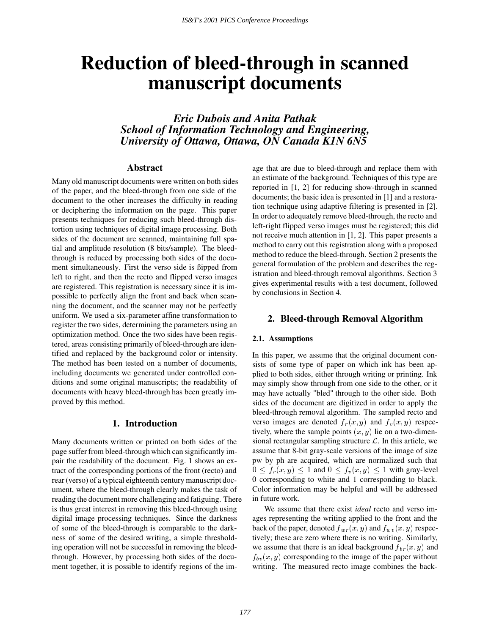# **Reduction of bleed-through in scanned manuscript documents**

*Eric Dubois and Anita Pathak School of Information Technology and Engineering, University of Ottawa, Ottawa, ON Canada K1N 6N5*

#### **Abstract**

Many old manuscript documents were written on both sides of the paper, and the bleed-through from one side of the document to the other increases the difficulty in reading or deciphering the information on the page. This paper presents techniques for reducing such bleed-through distortion using techniques of digital image processing. Both sides of the document are scanned, maintaining full spatial and amplitude resolution (8 bits/sample). The bleedthrough is reduced by processing both sides of the document simultaneously. First the verso side is ßipped from left to right, and then the recto and flipped verso images are registered. This registration is necessary since it is impossible to perfectly align the front and back when scanning the document, and the scanner may not be perfectly uniform. We used a six-parameter affine transformation to register the two sides, determining the parameters using an optimization method. Once the two sides have been registered, areas consisting primarily of bleed-through are identified and replaced by the background color or intensity. The method has been tested on a number of documents, including documents we generated under controlled conditions and some original manuscripts; the readability of documents with heavy bleed-through has been greatly improved by this method.

## **1. Introduction**

Many documents written or printed on both sides of the page suffer from bleed-through which can significantly impair the readability of the document. Fig. 1 shows an extract of the corresponding portions of the front (recto) and rear (verso) of a typical eighteenth century manuscript document, where the bleed-through clearly makes the task of reading the document more challenging and fatiguing. There is thus great interest in removing this bleed-through using digital image processing techniques. Since the darkness of some of the bleed-through is comparable to the darkness of some of the desired writing, a simple thresholding operation will not be successful in removing the bleedthrough. However, by processing both sides of the document together, it is possible to identify regions of the image that are due to bleed-through and replace them with an estimate of the background. Techniques of this type are reported in [1, 2] for reducing show-through in scanned documents; the basic idea is presented in [1] and a restoration technique using adaptive filtering is presented in [2]. In order to adequately remove bleed-through, the recto and left-right flipped verso images must be registered; this did not receive much attention in [1, 2]. This paper presents a method to carry out this registration along with a proposed method to reduce the bleed-through. Section 2 presents the general formulation of the problem and describes the registration and bleed-through removal algorithms. Section 3 gives experimental results with a test document, followed by conclusions in Section 4.

### **2. Bleed-through Removal Algorithm**

#### **2.1. Assumptions**

In this paper, we assume that the original document consists of some type of paper on which ink has been applied to both sides, either through writing or printing. Ink may simply show through from one side to the other, or it may have actually "bled" through to the other side. Both sides of the document are digitized in order to apply the bleed-through removal algorithm. The sampled recto and verso images are denoted  $f_r(x, y)$  and  $f_v(x, y)$  respectively, where the sample points  $(x, y)$  lie on a two-dimensional rectangular sampling structure  $\mathcal{L}$ . In this article, we assume that 8-bit gray-scale versions of the image of size pw by ph are acquired, which are normalized such that  $0 \le f_r(x, y) \le 1$  and  $0 \le f_v(x, y) \le 1$  with gray-level 0 corresponding to white and 1 corresponding to black. Color information may be helpful and will be addressed in future work.

We assume that there exist *ideal* recto and verso images representing the writing applied to the front and the back of the paper, denoted  $f_{wr}(x, y)$  and  $f_{wv}(x, y)$  respectively; these are zero where there is no writing. Similarly, we assume that there is an ideal background  $f_{br}(x, y)$  and  $f_{b\nu}(x, y)$  corresponding to the image of the paper without writing. The measured recto image combines the back-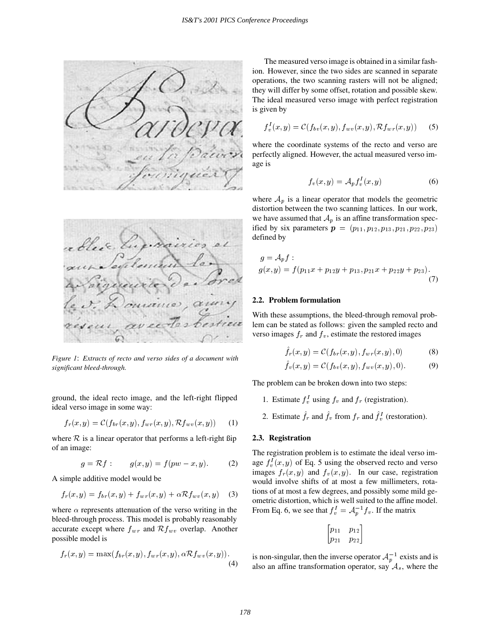



*Figure 1*: *Extracts of recto and verso sides of a document with significant bleed-through.*

ground, the ideal recto image, and the left-right flipped ideal verso image in some way:

$$
f_r(x,y) = \mathcal{C}(f_{br}(x,y), f_{wr}(x,y), \mathcal{R}f_{wv}(x,y)) \qquad (1)
$$

where  $R$  is a linear operator that performs a left-right  $\beta$ ip of an image:

$$
g = \mathcal{R}f : \qquad g(x, y) = f(pw - x, y) \tag{2}
$$

A simple additive model would be

$$
f_r(x,y) = f_{br}(x,y) + f_{wr}(x,y) + \alpha \mathcal{R} f_{wv}(x,y) \quad (3)
$$

where  $\alpha$  represents attenuation of the verso writing in the bleed-through process. This model is probably reasonably accurate except where  $f_{wr}$  and  $\mathcal{R}f_{wv}$  overlap. Another possible model is

$$
f_r(x,y) = \max(f_{br}(x,y), f_{wr}(x,y), \alpha \mathcal{R} f_{wv}(x,y)).
$$
\n(4)

The measured verso image is obtained in a similar fashion. However, since the two sides are scanned in separate operations, the two scanning rasters will not be aligned; they will differ by some offset, rotation and possible skew. The ideal measured verso image with perfect registration is given by

$$
f_v^I(x, y) = \mathcal{C}(f_{bv}(x, y), f_{wv}(x, y), \mathcal{R}f_{wr}(x, y))
$$
 (5)

where the coordinate systems of the recto and verso are perfectly aligned. However, the actual measured verso image is

$$
f_v(x,y) = \mathcal{A}_p f_v^I(x,y) \tag{6}
$$

where  $A_p$  is a linear operator that models the geometric distortion between the two scanning lattices. In our work, we have assumed that  $A_p$  is an affine transformation specified by six parameters  $p = (p_{11}, p_{12}, p_{13}, p_{21}, p_{22}, p_{23})$ defined by

$$
g = A_p f :
$$
  
 
$$
g(x, y) = f(p_{11}x + p_{12}y + p_{13}, p_{21}x + p_{22}y + p_{23}).
$$
 (7)

#### **2.2. Problem formulation**

With these assumptions, the bleed-through removal problem can be stated as follows: given the sampled recto and verso images  $f_r$  and  $f_v$ , estimate the restored images

$$
\hat{f}_r(x,y) = \mathcal{C}(f_{br}(x,y), f_{wr}(x,y), 0) \tag{8}
$$

$$
\hat{f}_v(x, y) = C(f_{bv}(x, y), f_{wv}(x, y), 0).
$$
 (9)

The problem can be broken down into two steps:

- 1. Estimate  $f_v^I$  using  $f_v$  and  $f_r$  (registration).
- 2. Estimate  $f_r$  and  $f_v$  from  $f_r$  and  $f_v$  (restoration).

#### **2.3. Registration**

The registration problem is to estimate the ideal verso image  $f_n^I(x, y)$  of Eq. 5 using the observed recto and verso images  $f_r(x, y)$  and  $f_v(x, y)$ . In our case, registration would involve shifts of at most a few millimeters, rotations of at most a few degrees, and possibly some mild geometric distortion, which is well suited to the affine model. From Eq. 6, we see that  $f_v^I = A_p^{-1} f_v$ . If the matrix

$$
\begin{bmatrix} p_{11} & p_{12} \\ p_{21} & p_{22} \end{bmatrix}
$$

is non-singular, then the inverse operator  $A_p^{-1}$  exists and is also an affine transformation operator, say  $A_s$ , where the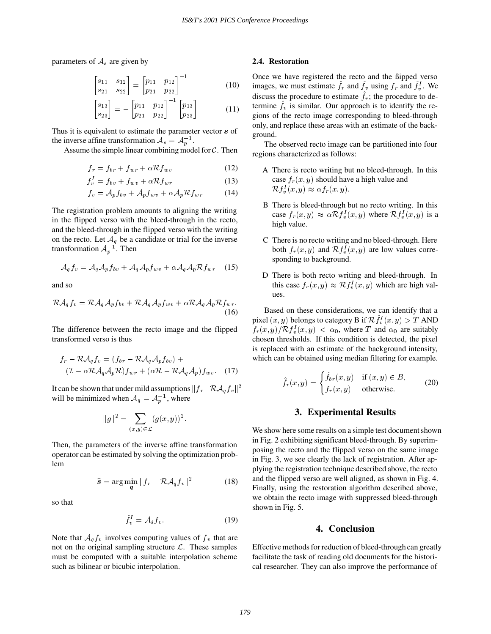parameters of  $A_s$  are given by

$$
\begin{bmatrix} s_{11} & s_{12} \\ s_{21} & s_{22} \end{bmatrix} = \begin{bmatrix} p_{11} & p_{12} \\ p_{21} & p_{22} \end{bmatrix}^{-1}
$$
 (10)

$$
\begin{bmatrix} s_{13} \\ s_{23} \end{bmatrix} = - \begin{bmatrix} p_{11} & p_{12} \\ p_{21} & p_{22} \end{bmatrix}^{-1} \begin{bmatrix} p_{13} \\ p_{23} \end{bmatrix}
$$
 (11)

Thus it is equivalent to estimate the parameter vector s of the inverse affine transformation  $A_s = A_n^{-1}$ .

Assume the simple linear combining model for  $\mathcal{C}$ . Then

$$
f_r = f_{br} + f_{wr} + \alpha \mathcal{R} f_{wv} \tag{12}
$$

$$
f_v^I = f_{bv} + f_{wv} + \alpha \mathcal{R} f_{wr} \tag{13}
$$

$$
f_v = \mathcal{A}_p f_{bv} + \mathcal{A}_p f_{wv} + \alpha \mathcal{A}_p \mathcal{R} f_{wr} \tag{14}
$$

The registration problem amounts to aligning the writing in the flipped verso with the bleed-through in the recto, and the bleed-through in the flipped verso with the writing on the recto. Let  $A_q$  be a candidate or trial for the inverse transformation  $A_n^{-1}$ . Then

$$
\mathcal{A}_q f_v = \mathcal{A}_q \mathcal{A}_p f_{bv} + \mathcal{A}_q \mathcal{A}_p f_{wv} + \alpha \mathcal{A}_q \mathcal{A}_p \mathcal{R} f_{wr} \quad (15)
$$

and so

$$
\mathcal{R}\mathcal{A}_q f_v = \mathcal{R}\mathcal{A}_q \mathcal{A}_p f_{bv} + \mathcal{R}\mathcal{A}_q \mathcal{A}_p f_{wv} + \alpha \mathcal{R}\mathcal{A}_q \mathcal{A}_p \mathcal{R} f_{wr}.
$$
\n(16)

The difference between the recto image and the flipped transformed verso is thus

$$
f_r - \mathcal{R}\mathcal{A}_q f_v = (f_{br} - \mathcal{R}\mathcal{A}_q\mathcal{A}_p f_{bv}) +
$$
  

$$
(\mathcal{I} - \alpha \mathcal{R}\mathcal{A}_q\mathcal{A}_p \mathcal{R}) f_{wr} + (\alpha \mathcal{R} - \mathcal{R}\mathcal{A}_q\mathcal{A}_p) f_{wv}. \quad (17)
$$

It can be shown that under mild assumptions  $||f_r - R\mathcal{A}_q f_v||^2$ will be minimized when  $A_q = A_p^{-1}$ , where

$$
||g||^2 = \sum_{(x,y)\in\mathcal{L}} (g(x,y))^2.
$$

Then, the parameters of the inverse affine transformation operator can be estimated by solving the optimization problem

$$
\widehat{\mathbf{s}} = \arg\min_{\mathbf{a}} \|f_r - \mathcal{R}\mathcal{A}_q f_v\|^2 \tag{18}
$$

so that

$$
\hat{f}_v^I = \mathcal{A}_{\hat{s}} f_v. \tag{19}
$$

Note that  $A_q f_v$  involves computing values of  $f_v$  that are not on the original sampling structure  $\mathcal{L}$ . These samples must be computed with a suitable interpolation scheme such as bilinear or bicubic interpolation.

#### **2.4. Restoration**

Once we have registered the recto and the ßipped verso images, we must estimate  $f_r$  and  $f_v$  using  $f_r$  and  $f_v^I$ . We discuss the procedure to estimate  $f_r$ ; the procedure to determine  $f_v$  is similar. Our approach is to identify the regions of the recto image corresponding to bleed-through only, and replace these areas with an estimate of the background.

The observed recto image can be partitioned into four regions characterized as follows:

- A There is recto writing but no bleed-through. In this case  $f_r(x, y)$  should have a high value and  $\mathcal{R}f_n^I(x,y) \approx \alpha f_r(x,y).$
- B There is bleed-through but no recto writing. In this case  $f_r(x, y) \approx \alpha \mathcal{R} f_v^I(x, y)$  where  $\mathcal{R} f_v^I(x, y)$  is a high value.
- C There is no recto writing and no bleed-through. Here both  $f_r(x, y)$  and  $\mathcal{R} f^I_r(x, y)$  are low values corresponding to background.
- D There is both recto writing and bleed-through. In this case  $f_r(x, y) \approx \mathcal{R} f_v^1(x, y)$  which are high values.

Based on these considerations, we can identify that a pixel  $(x, y)$  belongs to category B if  $\mathcal{R} f_v^I(x, y) > T$  AND  $f_r(x, y)/\mathcal{R} f_v^I(x, y) < \alpha_0$ , where T and  $\alpha_0$  are suitably chosen thresholds. If this condition is detected, the pixel is replaced with an estimate of the background intensity, which can be obtained using median filtering for example.

$$
\hat{f}_r(x,y) = \begin{cases} \hat{f}_{br}(x,y) & \text{if } (x,y) \in B, \\ f_r(x,y) & \text{otherwise.} \end{cases}
$$
 (20)

#### **3. Experimental Results**

We show here some results on a simple test document shown in Fig. 2 exhibiting significant bleed-through. By superimposing the recto and the flipped verso on the same image in Fig. 3, we see clearly the lack of registration. After applying the registration technique described above, the recto and the flipped verso are well aligned, as shown in Fig. 4. Finally, using the restoration algorithm described above, we obtain the recto image with suppressed bleed-through shown in Fig. 5.

#### **4. Conclusion**

Effective methods for reduction of bleed-through can greatly facilitate the task of reading old documents for the historical researcher. They can also improve the performance of